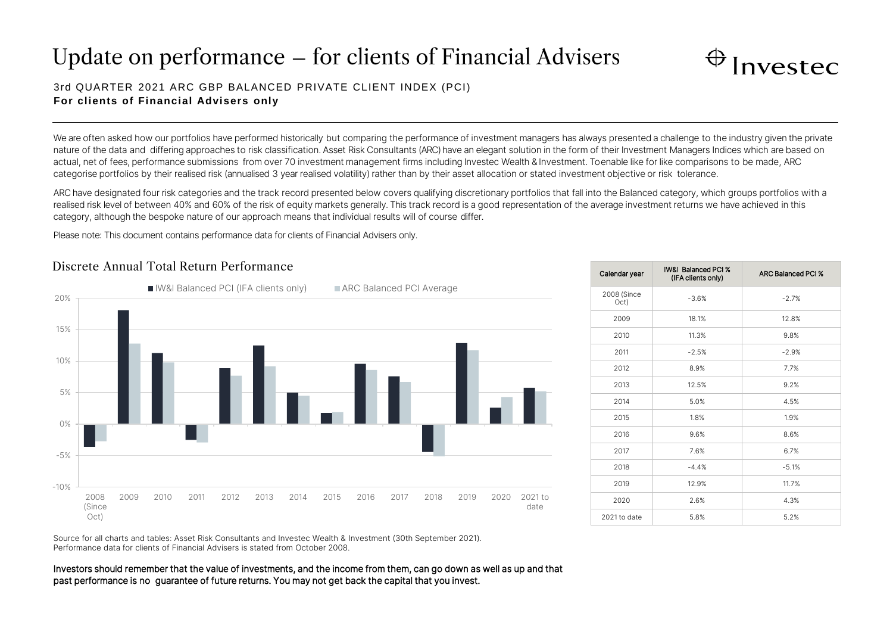# Update on performance – for clients of Financial Advisers



## 3rd QUARTER 2021 ARC GBP BALANCED PRIVATE CLIENT INDEX (PCI) **For clients of Financial Advisers only**

We are often asked how our portfolios have performed historically but comparing the performance of investment managers has always presented a challenge to the industry given the private nature of the data and differing approaches to risk classification. Asset Risk Consultants (ARC) have an elegant solution in the form of their Investment Managers Indices which are based on actual, net of fees, performance submissions from over 70 investment management firms including Investec Wealth & Investment. To enable like for like comparisons to be made, ARC categorise portfolios by their realised risk (annualised 3 year realised volatility) rather than by their asset allocation or stated investment objective or risk tolerance.

ARC have designated four risk categories and the track record presented below covers qualifying discretionary portfolios that fall into the Balanced category, which groups portfolios with a realised risk level of between 40% and 60% of the risk of equity markets generally. This track record is a good representation of the average investment returns we have achieved in this category, although the bespoke nature of our approach means that individual results will of course differ.

Please note: This document contains performance data for clients of Financial Advisers only.



## Discrete Annual Total Return Performance

| Calendar year       | <b>IW&amp;I Balanced PCI %</b><br>(IFA clients only) | <b>ARC Balanced PCI %</b> |
|---------------------|------------------------------------------------------|---------------------------|
| 2008 (Since<br>Oct) | $-3.6%$                                              | $-2.7%$                   |
| 2009                | 18.1%                                                | 12.8%                     |
| 2010                | 11.3%                                                | 9.8%                      |
| 2011                | $-2.5%$                                              | $-2.9%$                   |
| 2012                | 8.9%                                                 | 7.7%                      |
| 2013                | 12.5%                                                | 9.2%                      |
| 2014                | 5.0%                                                 | 4.5%                      |
| 2015                | 1.8%                                                 | 1.9%                      |
| 2016                | 9.6%                                                 | 8.6%                      |
| 2017                | 7.6%                                                 | 6.7%                      |
| 2018                | $-4.4%$                                              | $-5.1%$                   |
| 2019                | 12.9%                                                | 11.7%                     |
| 2020                | 2.6%                                                 | 4.3%                      |
| 2021 to date        | 5.8%                                                 | 5.2%                      |

Source for all charts and tables: Asset Risk Consultants and Investec Wealth & Investment (30th September 2021). Performance data for clients of Financial Advisers is stated from October 2008.

Investors should remember that the value of investments, and the income from them, can go down as well as up and that past performance is no guarantee of future returns. You may not get back the capital that you invest.